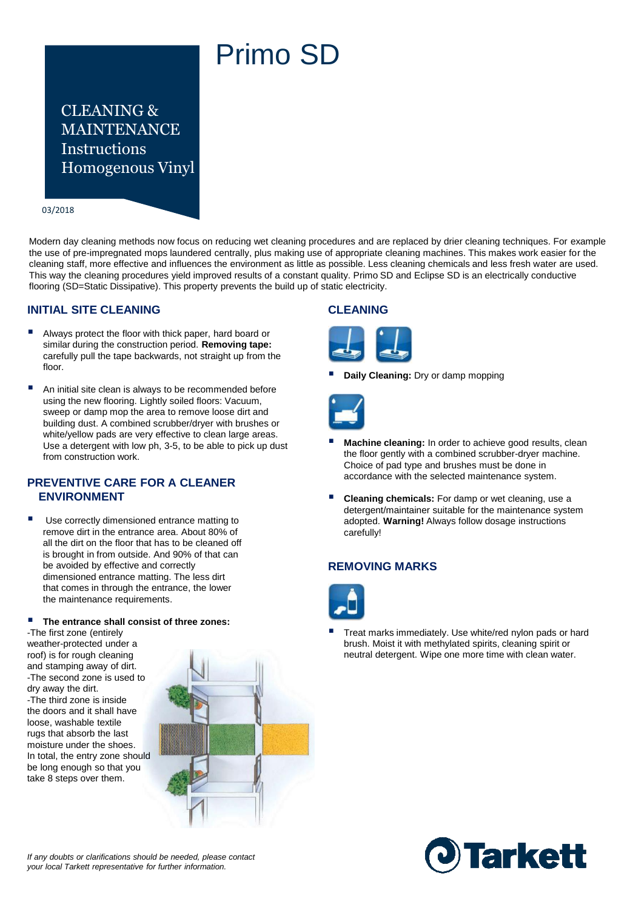# Primo SD

## CLEANING & MAINTENANCE **Instructions** Homogenous Vinyl

#### 03/2018

Modern day cleaning methods now focus on reducing wet cleaning procedures and are replaced by drier cleaning techniques. For example the use of pre-impregnated mops laundered centrally, plus making use of appropriate cleaning machines. This makes work easier for the cleaning staff, more effective and influences the environment as little as possible. Less cleaning chemicals and less fresh water are used. This way the cleaning procedures yield improved results of a constant quality. Primo SD and Eclipse SD is an electrically conductive flooring (SD=Static Dissipative). This property prevents the build up of static electricity.

## **INITIAL SITE CLEANING**

- Always protect the floor with thick paper, hard board or similar during the construction period. **Removing tape:**  carefully pull the tape backwards, not straight up from the floor.
- An initial site clean is always to be recommended before using the new flooring. Lightly soiled floors: Vacuum, sweep or damp mop the area to remove loose dirt and building dust. A combined scrubber/dryer with brushes or white/yellow pads are very effective to clean large areas. Use a detergent with low ph, 3-5, to be able to pick up dust from construction work.

## **PREVENTIVE CARE FOR A CLEANER ENVIRONMENT**

 Use correctly dimensioned entrance matting to remove dirt in the entrance area. About 80% of all the dirt on the floor that has to be cleaned off is brought in from outside. And 90% of that can be avoided by effective and correctly dimensioned entrance matting. The less dirt that comes in through the entrance, the lower the maintenance requirements.

## **The entrance shall consist of three zones:**

-The first zone (entirely weather-protected under a roof) is for rough cleaning and stamping away of dirt. -The second zone is used to dry away the dirt. -The third zone is inside the doors and it shall have loose, washable textile rugs that absorb the last moisture under the shoes. In total, the entry zone should be long enough so that you take 8 steps over them.



#### *If any doubts or clarifications should be needed, please contact your local Tarkett representative for further information.*

## **CLEANING**



**Daily Cleaning:** Dry or damp mopping



- **Machine cleaning:** In order to achieve good results, clean the floor gently with a combined scrubber-dryer machine. Choice of pad type and brushes must be done in accordance with the selected maintenance system.
- **Cleaning chemicals:** For damp or wet cleaning, use a detergent/maintainer suitable for the maintenance system adopted. **Warning!** Always follow dosage instructions carefully!

## **REMOVING MARKS**



 Treat marks immediately. Use white/red nylon pads or hard brush. Moist it with methylated spirits, cleaning spirit or neutral detergent. Wipe one more time with clean water.